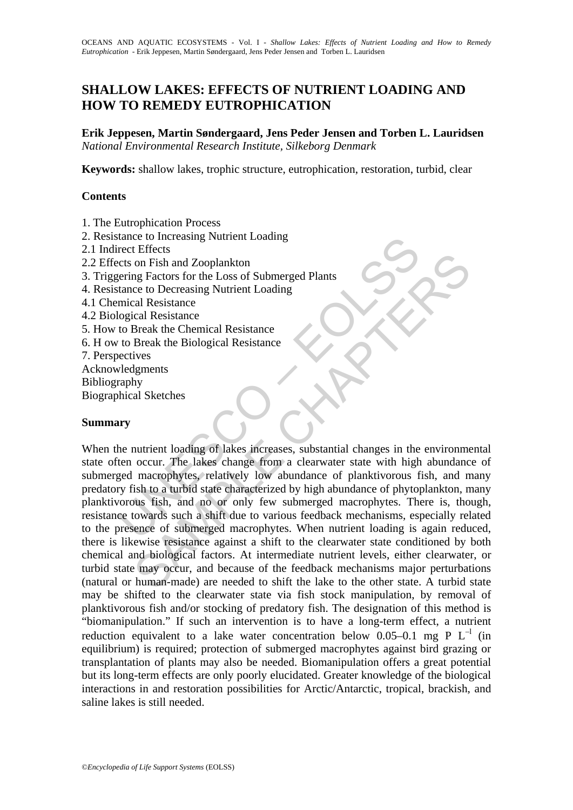# **SHALLOW LAKES: EFFECTS OF NUTRIENT LOADING AND HOW TO REMEDY EUTROPHICATION**

**Erik Jeppesen, Martin Søndergaard, Jens Peder Jensen and Torben L. Lauridsen**  *National Environmental Research Institute, Silkeborg Denmark* 

**Keywords:** shallow lakes, trophic structure, eutrophication, restoration, turbid, clear

## **Contents**

1. The Eutrophication Process

- 2. Resistance to Increasing Nutrient Loading
- 2.1 Indirect Effects
- 2.2 Effects on Fish and Zooplankton
- 3. Triggering Factors for the Loss of Submerged Plants
- 4. Resistance to Decreasing Nutrient Loading
- 4.1 Chemical Resistance
- 4.2 Biological Resistance
- 5. How to Break the Chemical Resistance
- 6. H ow to Break the Biological Resistance
- 7. Perspectives
- Acknowledgments

Bibliography

Biographical Sketches

## **Summary**

rect Effects<br>
rect Effects<br>
rect Smelling Factors for the Loss of Submerged Plants<br>
tance to Decreasing Nutrient Loading<br>
mical Resistance<br>
to Break the Chemical Resistance<br>
to Break the Chemical Resistance<br>
ectives<br>
velog Charles of the Loss of Submerged Plants<br>
Con Fish and Zooplankton<br>
on Fish and Zooplankton<br>
cel to Decreasing Nutrient Loading<br>
and Resistance<br>
and Resistance<br>
Break the Chemical Resistance<br>
ives<br>
lignents<br>
vignents<br>
ligne When the nutrient loading of lakes increases, substantial changes in the environmental state often occur. The lakes change from a clearwater state with high abundance of submerged macrophytes, relatively low abundance of planktivorous fish, and many predatory fish to a turbid state characterized by high abundance of phytoplankton, many planktivorous fish, and no or only few submerged macrophytes. There is, though, resistance towards such a shift due to various feedback mechanisms, especially related to the presence of submerged macrophytes. When nutrient loading is again reduced, there is likewise resistance against a shift to the clearwater state conditioned by both chemical and biological factors. At intermediate nutrient levels, either clearwater, or turbid state may occur, and because of the feedback mechanisms major perturbations (natural or human-made) are needed to shift the lake to the other state. A turbid state may be shifted to the clearwater state via fish stock manipulation, by removal of planktivorous fish and/or stocking of predatory fish. The designation of this method is "biomanipulation." If such an intervention is to have a long-term effect, a nutrient reduction equivalent to a lake water concentration below  $0.05-0.1$  mg P L<sup>-1</sup> (in equilibrium) is required; protection of submerged macrophytes against bird grazing or transplantation of plants may also be needed. Biomanipulation offers a great potential but its long-term effects are only poorly elucidated. Greater knowledge of the biological interactions in and restoration possibilities for Arctic/Antarctic, tropical, brackish, and saline lakes is still needed.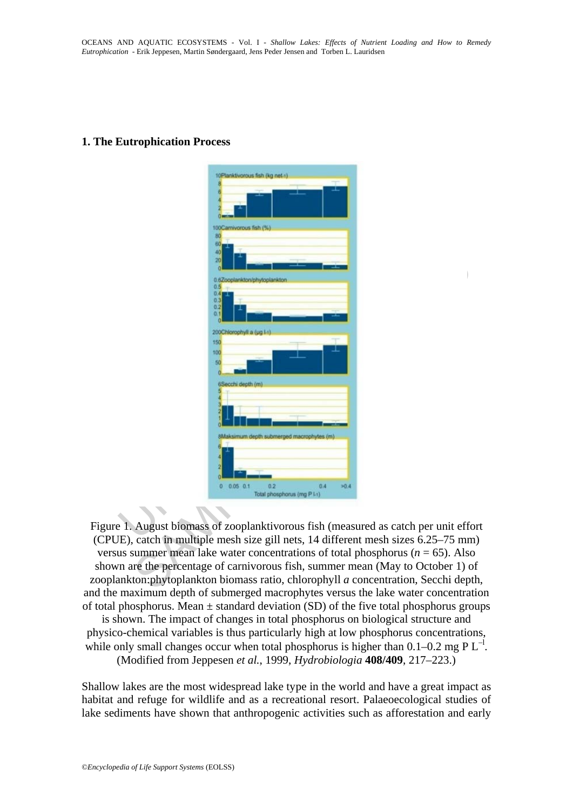## **1. The Eutrophication Process**

| 10Planktivorous fish (kg net->)                                                                                                                                 |  |
|-----------------------------------------------------------------------------------------------------------------------------------------------------------------|--|
|                                                                                                                                                                 |  |
|                                                                                                                                                                 |  |
| 100Camivorous fish (%)                                                                                                                                          |  |
| 60                                                                                                                                                              |  |
| 40<br>20                                                                                                                                                        |  |
| 0.6Zooplankton/phytoplankton                                                                                                                                    |  |
| 0.5<br>0.41                                                                                                                                                     |  |
| 0.3<br>0.2                                                                                                                                                      |  |
| 0.1                                                                                                                                                             |  |
| 200Chlorophyll a (ug 1-t                                                                                                                                        |  |
| 150<br>100                                                                                                                                                      |  |
| 50                                                                                                                                                              |  |
|                                                                                                                                                                 |  |
| 6Secchi depth (m)                                                                                                                                               |  |
|                                                                                                                                                                 |  |
|                                                                                                                                                                 |  |
| 8Maksimum depth submerged macrophytes (m)                                                                                                                       |  |
|                                                                                                                                                                 |  |
|                                                                                                                                                                 |  |
|                                                                                                                                                                 |  |
| 0.05 0.1<br>Ō.<br>0.2<br>0.4<br>50.4<br>Total phosphorus (mg P I-1)                                                                                             |  |
|                                                                                                                                                                 |  |
|                                                                                                                                                                 |  |
| E 1. August biomass of zooplanktivorous fish (measured as catch per unit effe<br>JE), catch in multiple mesh size gill nets, 14 different mesh sizes 6.25–75 mn |  |
| us summer mean lake water concentrations of total phosphorus ( $n = 65$ ). Also                                                                                 |  |
| In are the percentage of carnivorous fish, summer mean (May to October 1) on                                                                                    |  |
| ankton: phytoplankton biomass ratio, chlorophyll a concentration, Secchi dep                                                                                    |  |
| $1 \t1 \t1 \t1 \t1 \t1 \t1 \t1 \t1 \t1 \t1$                                                                                                                     |  |

Figure 1. August biomass of zooplanktivorous fish (measured as catch per unit effort (CPUE), catch in multiple mesh size gill nets, 14 different mesh sizes 6.25–75 mm) versus summer mean lake water concentrations of total phosphorus ( $n = 65$ ). Also shown are the percentage of carnivorous fish, summer mean (May to October 1) of zooplankton:phytoplankton biomass ratio, chlorophyll *a* concentration, Secchi depth, and the maximum depth of submerged macrophytes versus the lake water concentration of total phosphorus. Mean  $\pm$  standard deviation (SD) of the five total phosphorus groups

is shown. The impact of changes in total phosphorus on biological structure and physico-chemical variables is thus particularly high at low phosphorus concentrations, while only small changes occur when total phosphorus is higher than  $0.1-0.2$  mg P L<sup>-1</sup>. (Modified from Jeppesen *et al.*, 1999, *Hydrobiologia* **408/409**, 217–223.)

Shallow lakes are the most widespread lake type in the world and have a great impact as habitat and refuge for wildlife and as a recreational resort. Palaeoecological studies of lake sediments have shown that anthropogenic activities such as afforestation and early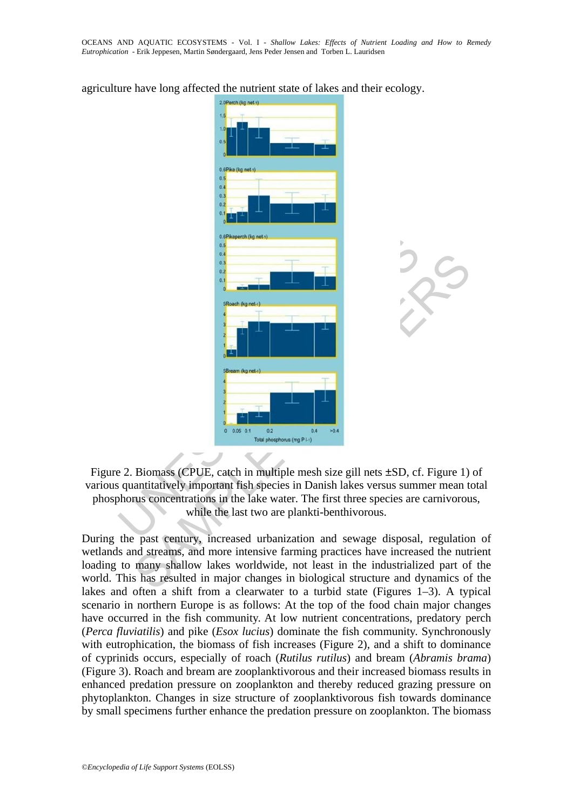agriculture have long affected the nutrient state of lakes and their ecology.



Figure 2. Biomass (CPUE, catch in multiple mesh size gill nets ±SD, cf. Figure 1) of various quantitatively important fish species in Danish lakes versus summer mean total phosphorus concentrations in the lake water. The first three species are carnivorous, while the last two are plankti-benthivorous.

During the past century, increased urbanization and sewage disposal, regulation of wetlands and streams, and more intensive farming practices have increased the nutrient loading to many shallow lakes worldwide, not least in the industrialized part of the world. This has resulted in major changes in biological structure and dynamics of the lakes and often a shift from a clearwater to a turbid state (Figures 1–3). A typical scenario in northern Europe is as follows: At the top of the food chain major changes have occurred in the fish community. At low nutrient concentrations, predatory perch (*Perca fluviatilis*) and pike (*Esox lucius*) dominate the fish community. Synchronously with eutrophication, the biomass of fish increases (Figure 2), and a shift to dominance of cyprinids occurs, especially of roach (*Rutilus rutilus*) and bream (*Abramis brama*) (Figure 3). Roach and bream are zooplanktivorous and their increased biomass results in enhanced predation pressure on zooplankton and thereby reduced grazing pressure on phytoplankton. Changes in size structure of zooplanktivorous fish towards dominance by small specimens further enhance the predation pressure on zooplankton. The biomass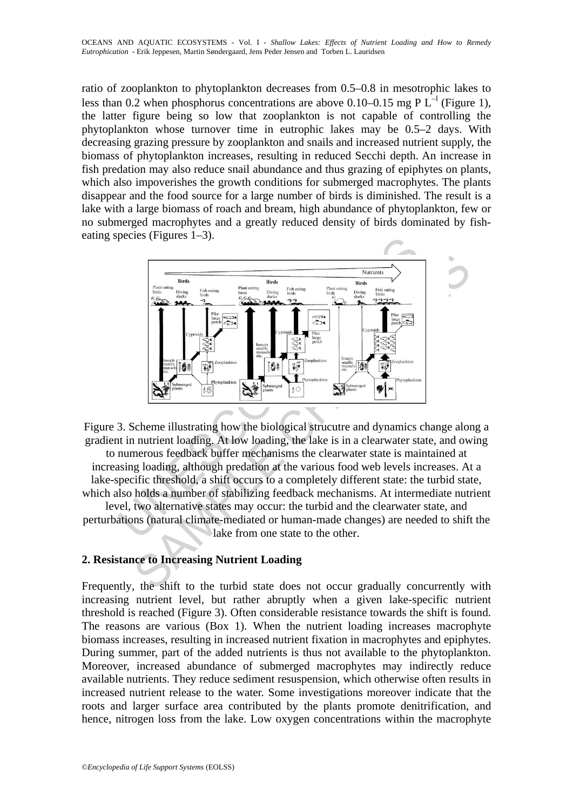ratio of zooplankton to phytoplankton decreases from 0.5–0.8 in mesotrophic lakes to less than 0.2 when phosphorus concentrations are above 0.10–0.15 mg P  $L^{-1}$  (Figure 1), the latter figure being so low that zooplankton is not capable of controlling the phytoplankton whose turnover time in eutrophic lakes may be 0.5–2 days. With decreasing grazing pressure by zooplankton and snails and increased nutrient supply, the biomass of phytoplankton increases, resulting in reduced Secchi depth. An increase in fish predation may also reduce snail abundance and thus grazing of epiphytes on plants, which also impoverishes the growth conditions for submerged macrophytes. The plants disappear and the food source for a large number of birds is diminished. The result is a lake with a large biomass of roach and bream, high abundance of phytoplankton, few or no submerged macrophytes and a greatly reduced density of birds dominated by fisheating species (Figures 1–3).



Figure 3. Scheme illustrating how the biological strucutre and dynamics change along a gradient in nutrient loading. At low loading, the lake is in a clearwater state, and owing to numerous feedback buffer mechanisms the clearwater state is maintained at increasing loading, although predation at the various food web levels increases. At a lake-specific threshold, a shift occurs to a completely different state: the turbid state, which also holds a number of stabilizing feedback mechanisms. At intermediate nutrient level, two alternative states may occur: the turbid and the clearwater state, and perturbations (natural climate-mediated or human-made changes) are needed to shift the lake from one state to the other.

## **2. Resistance to Increasing Nutrient Loading**

Frequently, the shift to the turbid state does not occur gradually concurrently with increasing nutrient level, but rather abruptly when a given lake-specific nutrient threshold is reached (Figure 3). Often considerable resistance towards the shift is found. The reasons are various (Box 1). When the nutrient loading increases macrophyte biomass increases, resulting in increased nutrient fixation in macrophytes and epiphytes. During summer, part of the added nutrients is thus not available to the phytoplankton. Moreover, increased abundance of submerged macrophytes may indirectly reduce available nutrients. They reduce sediment resuspension, which otherwise often results in increased nutrient release to the water. Some investigations moreover indicate that the roots and larger surface area contributed by the plants promote denitrification, and hence, nitrogen loss from the lake. Low oxygen concentrations within the macrophyte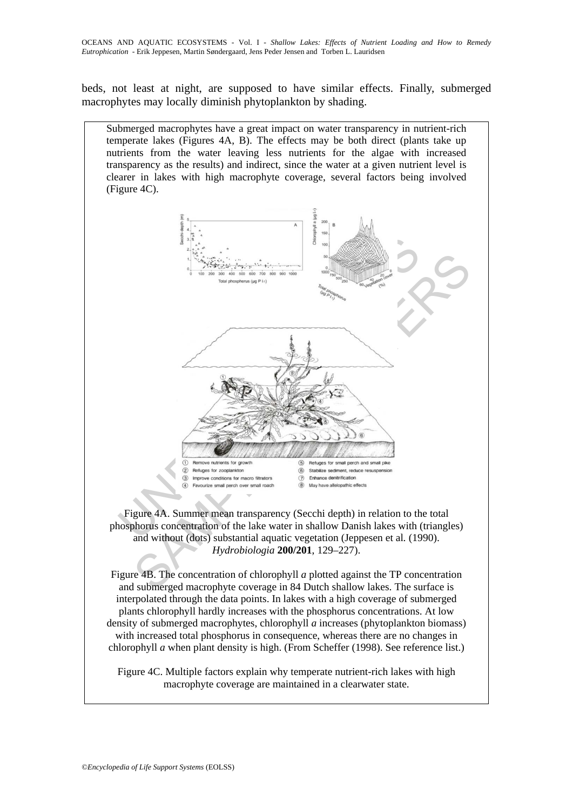beds, not least at night, are supposed to have similar effects. Finally, submerged macrophytes may locally diminish phytoplankton by shading.



Figure 4B. The concentration of chlorophyll *a* plotted against the TP concentration and submerged macrophyte coverage in 84 Dutch shallow lakes. The surface is interpolated through the data points. In lakes with a high coverage of submerged plants chlorophyll hardly increases with the phosphorus concentrations. At low density of submerged macrophytes, chlorophyll *a* increases (phytoplankton biomass) with increased total phosphorus in consequence, whereas there are no changes in chlorophyll *a* when plant density is high. (From Scheffer (1998). See reference list.)

Figure 4C. Multiple factors explain why temperate nutrient-rich lakes with high macrophyte coverage are maintained in a clearwater state.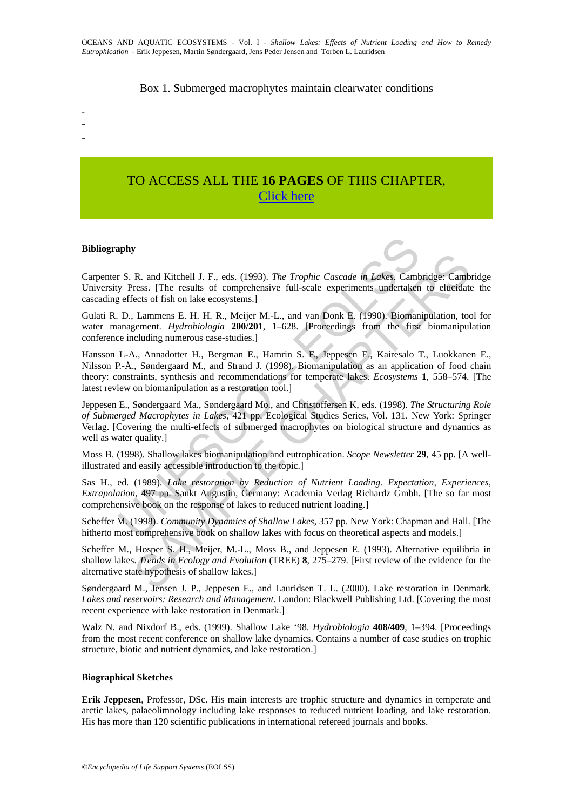### Box 1. Submerged macrophytes maintain clearwater conditions

# TO ACCESS ALL THE **16 PAGES** OF THIS CHAPTER, [Click here](https://www.eolss.net/ebooklib/sc_cart.aspx?File=E1-06-02-01)

### **Bibliography**

- - -

Carpenter S. R. and Kitchell J. F., eds. (1993). *The Trophic Cascade in Lakes*. Cambridge: Cambridge University Press. [The results of comprehensive full-scale experiments undertaken to elucidate the cascading effects of fish on lake ecosystems.]

Gulati R. D., Lammens E. H. H. R., Meijer M.-L., and van Donk E. (1990). Biomanipulation, tool for water management. *Hydrobiologia* **200/201**, 1–628. [Proceedings from the first biomanipulation conference including numerous case-studies.]

**aphy**<br> **s** F. S. R. and Kitchell J. F., eds. (1993). *The Trophic Cascade in Lakes*, Camb<br>
y Press. [The results of comprehensive full-scale experiments undertaken<br>
effects of fish on lake ecosystems.]<br>
D., Lammens E. H. *R* and Kitchell J. F., eds. (1993). *The Trophic Cascade in Lakex*, Cambridge: Canb<br>
ress. [The results of comprehensive full-scale experiments undertaken to elucidate<br>
cets of fish on lake ecosystems.]<br>
Lammens E. H. H. Hansson L-A., Annadotter H., Bergman E., Hamrin S. F., Jeppesen E., Kairesalo T., Luokkanen E., Nilsson P.-Å., Søndergaard M., and Strand J. (1998). Biomanipulation as an application of food chain theory: constraints, synthesis and recommendations for temperate lakes. *Ecosystems* **1**, 558–574. [The latest review on biomanipulation as a restoration tool.]

Jeppesen E., Søndergaard Ma., Søndergaard Mo., and Christoffersen K, eds. (1998). *The Structuring Role of Submerged Macrophytes in Lakes*, 421 pp. Ecological Studies Series, Vol. 131. New York: Springer Verlag. [Covering the multi-effects of submerged macrophytes on biological structure and dynamics as well as water quality.

Moss B. (1998). Shallow lakes biomanipulation and eutrophication. *Scope Newsletter* **29**, 45 pp. [A wellillustrated and easily accessible introduction to the topic.]

Sas H., ed. (1989). *Lake restoration by Reduction of Nutrient Loading. Expectation, Experiences, Extrapolation*, 497 pp. Sankt Augustin, Germany: Academia Verlag Richardz Gmbh. [The so far most comprehensive book on the response of lakes to reduced nutrient loading.]

Scheffer M. (1998). *Community Dynamics of Shallow Lakes*, 357 pp. New York: Chapman and Hall. [The hitherto most comprehensive book on shallow lakes with focus on theoretical aspects and models.]

Scheffer M., Hosper S. H., Meijer, M.-L., Moss B., and Jeppesen E. (1993). Alternative equilibria in shallow lakes. *Trends in Ecology and Evolution* (TREE) **8**, 275–279. [First review of the evidence for the alternative state hypothesis of shallow lakes.]

Søndergaard M., Jensen J. P., Jeppesen E., and Lauridsen T. L. (2000). Lake restoration in Denmark. *Lakes and reservoirs: Research and Management*. London: Blackwell Publishing Ltd. [Covering the most recent experience with lake restoration in Denmark.]

Walz N. and Nixdorf B., eds. (1999). Shallow Lake '98. *Hydrobiologia* **408/409**, 1–394. [Proceedings from the most recent conference on shallow lake dynamics. Contains a number of case studies on trophic structure, biotic and nutrient dynamics, and lake restoration.]

#### **Biographical Sketches**

**Erik Jeppesen**, Professor, DSc. His main interests are trophic structure and dynamics in temperate and arctic lakes, palaeolimnology including lake responses to reduced nutrient loading, and lake restoration. His has more than 120 scientific publications in international refereed journals and books.